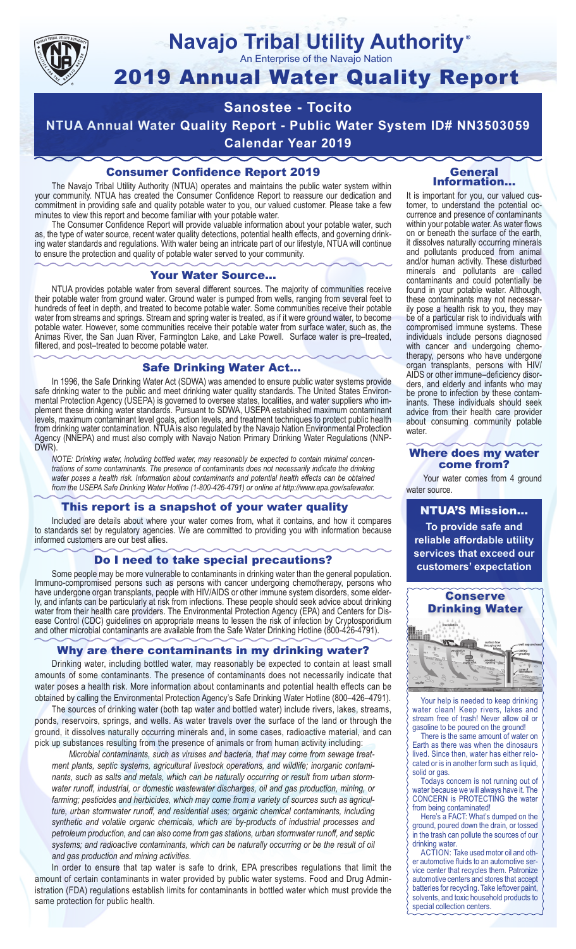

### **Navajo Tribal Utility Authority** ®

An Enterprise of the Navajo Nation

# 2019 Annual Water Quality Report

# **Sanostee - Tocito**

**NTUA Annual Water Quality Report - Public Water System ID# NN3503059**

**Calendar Year 2019**

### Consumer Confidence Report 2019

The Navajo Tribal Utility Authority (NTUA) operates and maintains the public water system within your community. NTUA has created the Consumer Confidence Report to reassure our dedication and commitment in providing safe and quality potable water to you, our valued customer. Please take a few minutes to view this report and become familiar with your potable water.

The Consumer Confidence Report will provide valuable information about your potable water, such as, the type of water source, recent water quality detections, potential health effects, and governing drinking water standards and regulations. With water being an intricate part of our lifestyle, NTUA will continue to ensure the protection and quality of potable water served to your community.

#### Your Water Source…

NTUA provides potable water from several different sources. The majority of communities receive their potable water from ground water. Ground water is pumped from wells, ranging from several feet to hundreds of feet in depth, and treated to become potable water. Some communities receive their potable water from streams and springs. Stream and spring water is treated, as if it were ground water, to become potable water. However, some communities receive their potable water from surface water, such as, the Animas River, the San Juan River, Farmington Lake, and Lake Powell. Surface water is pre–treated, filtered, and post–treated to become potable water.

#### Safe Drinking Water Act…

In 1996, the Safe Drinking Water Act (SDWA) was amended to ensure public water systems provide safe drinking water to the public and meet drinking water quality standards. The United States Environmental Protection Agency (USEPA) is governed to oversee states, localities, and water suppliers who implement these drinking water standards. Pursuant to SDWA, USEPA established maximum contaminant levels, maximum contaminant level goals, action levels, and treatment techniques to protect public health from drinking water contamination. NTUA is also regulated by the Navajo Nation Environmental Protection Agency (NNEPA) and must also comply with Navajo Nation Primary Drinking Water Regulations (NNP-DWR)

*NOTE: Drinking water, including bottled water, may reasonably be expected to contain minimal concentrations of some contaminants. The presence of contaminants does not necessarily indicate the drinking water poses a health risk. Information about contaminants and potential health effects can be obtained from the USEPA Safe Drinking Water Hotline (1-800-426-4791) or online at http://www.epa.gov/safewater.*

### This report is a snapshot of your water quality

Included are details about where your water comes from, what it contains, and how it compares to standards set by regulatory agencies. We are committed to providing you with information because informed customers are our best allies.

### Do I need to take special precautions?

Some people may be more vulnerable to contaminants in drinking water than the general population. Immuno-compromised persons such as persons with cancer undergoing chemotherapy, persons who have undergone organ transplants, people with HIV/AIDS or other immune system disorders, some elderly, and infants can be particularly at risk from infections. These people should seek advice about drinking water from their health care providers. The Environmental Protection Agency (EPA) and Centers for Disease Control (CDC) guidelines on appropriate means to lessen the risk of infection by Cryptosporidium and other microbial contaminants are available from the Safe Water Drinking Hotline (800-426-4791).

### Why are there contaminants in my drinking water?

Drinking water, including bottled water, may reasonably be expected to contain at least small amounts of some contaminants. The presence of contaminants does not necessarily indicate that water poses a health risk. More information about contaminants and potential health effects can be obtained by calling the Environmental Protection Agency's Safe Drinking Water Hotline (800–426–4791).

The sources of drinking water (both tap water and bottled water) include rivers, lakes, streams, ponds, reservoirs, springs, and wells. As water travels over the surface of the land or through the ground, it dissolves naturally occurring minerals and, in some cases, radioactive material, and can pick up substances resulting from the presence of animals or from human activity including:

*Microbial contaminants, such as viruses and bacteria, that may come from sewage treatment plants, septic systems, agricultural livestock operations, and wildlife; inorganic contaminants, such as salts and metals, which can be naturally occurring or result from urban stormwater runoff, industrial, or domestic wastewater discharges, oil and gas production, mining, or farming; pesticides and herbicides, which may come from a variety of sources such as agriculture, urban stormwater runoff, and residential uses; organic chemical contaminants, including synthetic and volatile organic chemicals, which are by-products of industrial processes and petroleum production, and can also come from gas stations, urban stormwater runoff, and septic systems; and radioactive contaminants, which can be naturally occurring or be the result of oil and gas production and mining activities.*

In order to ensure that tap water is safe to drink, EPA prescribes regulations that limit the amount of certain contaminants in water provided by public water systems. Food and Drug Administration (FDA) regulations establish limits for contaminants in bottled water which must provide the same protection for public health.

#### General Information…

It is important for you, our valued customer, to understand the potential occurrence and presence of contaminants within your potable water. As water flows on or beneath the surface of the earth, it dissolves naturally occurring minerals and pollutants produced from animal and/or human activity. These disturbed minerals and pollutants are called contaminants and could potentially be found in your potable water. Although, these contaminants may not necessarily pose a health risk to you, they may be of a particular risk to individuals with compromised immune systems. These individuals include persons diagnosed with cancer and undergoing chemo-<br>therapy, persons who have undergone organ transplants, persons with HIV/ AIDS or other immune–deficiency disor- ders, and elderly and infants who may be prone to infection by these contam- inants. These individuals should seek advice from their health care provider about consuming community potable water.

#### Where does my water come from?

Your water comes from 4 ground water source.

NTUA'S Mission... **To provide safe and reliable affordable utility services that exceed our customers' expectation**



Your help is needed to keep drinking water clean! Keep rivers, lakes and stream free of trash! Never allow oil or gasoline to be poured on the ground!

There is the same amount of water on Earth as there was when the dinosaurs lived. Since then, water has either relocated or is in another form such as liquid, solid or gas.

Todays concern is not running out of water because we will always have it. The CONCERN is PROTECTING the water from being contaminated!

Here's a FACT: What's dumped on the ground, poured down the drain, or tossed in the trash can pollute the sources of our drinking water.

ACTION: Take used motor oil and other automotive fluids to an automotive service center that recycles them. Patronize automotive centers and stores that accept batteries for recycling. Take leftover paint, solvents, and toxic household products to special collection centers.